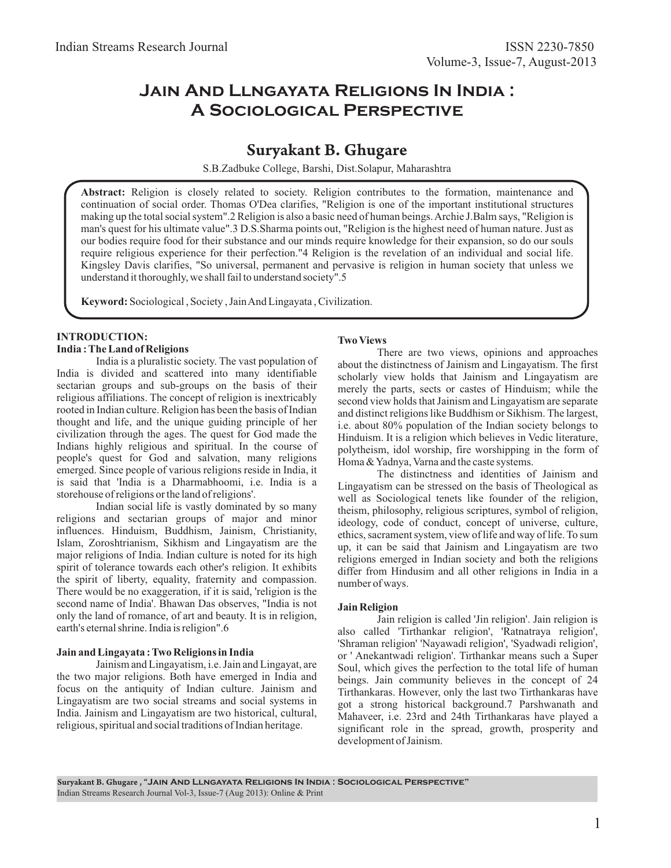# **Jain And Llngayata Religions In India : A Sociological Perspective**

# Suryakant B. Ghugare

S.B.Zadbuke College, Barshi, Dist.Solapur, Maharashtra

**Abstract:** Religion is closely related to society. Religion contributes to the formation, maintenance and continuation of social order. Thomas O'Dea clarifies, "Religion is one of the important institutional structures making up the total social system".2 Religion is also a basic need of human beings. Archie J.Balm says, "Religion is man's quest for his ultimate value".3 D.S.Sharma points out, "Religion is the highest need of human nature. Just as our bodies require food for their substance and our minds require knowledge for their expansion, so do our souls require religious experience for their perfection."4 Religion is the revelation of an individual and social life. Kingsley Davis clarifies, "So universal, permanent and pervasive is religion in human society that unless we understand it thoroughly, we shall fail to understand society".5

**Keyword:** Sociological , Society , Jain And Lingayata , Civilization.

# **INTRODUCTION:**

**India : The Land of Religions**

India is a pluralistic society. The vast population of India is divided and scattered into many identifiable sectarian groups and sub-groups on the basis of their religious affiliations. The concept of religion is inextricably rooted in Indian culture. Religion has been the basis of Indian thought and life, and the unique guiding principle of her civilization through the ages. The quest for God made the Indians highly religious and spiritual. In the course of people's quest for God and salvation, many religions emerged. Since people of various religions reside in India, it is said that 'India is a Dharmabhoomi, i.e. India is a storehouse of religions or the land of religions'.

Indian social life is vastly dominated by so many religions and sectarian groups of major and minor influences. Hinduism, Buddhism, Jainism, Christianity, Islam, Zoroshtrianism, Sikhism and Lingayatism are the major religions of India. Indian culture is noted for its high spirit of tolerance towards each other's religion. It exhibits the spirit of liberty, equality, fraternity and compassion. There would be no exaggeration, if it is said, 'religion is the second name of India'. Bhawan Das observes, "India is not only the land of romance, of art and beauty. It is in religion, earth's eternal shrine. India is religion".6

### **Jain and Lingayata : Two Religions in India**

Jainism and Lingayatism, i.e. Jain and Lingayat, are the two major religions. Both have emerged in India and focus on the antiquity of Indian culture. Jainism and Lingayatism are two social streams and social systems in India. Jainism and Lingayatism are two historical, cultural, religious, spiritual and social traditions of Indian heritage.

### **Two Views**

There are two views, opinions and approaches about the distinctness of Jainism and Lingayatism. The first scholarly view holds that Jainism and Lingayatism are merely the parts, sects or castes of Hinduism; while the second view holds that Jainism and Lingayatism are separate and distinct religions like Buddhism or Sikhism. The largest, i.e. about 80% population of the Indian society belongs to Hinduism. It is a religion which believes in Vedic literature, polytheism, idol worship, fire worshipping in the form of Homa & Yadnya, Varna and the caste systems.

The distinctness and identities of Jainism and Lingayatism can be stressed on the basis of Theological as well as Sociological tenets like founder of the religion, theism, philosophy, religious scriptures, symbol of religion, ideology, code of conduct, concept of universe, culture, ethics, sacrament system, view of life and way of life. To sum up, it can be said that Jainism and Lingayatism are two religions emerged in Indian society and both the religions differ from Hindusim and all other religions in India in a number of ways.

#### **Jain Religion**

Jain religion is called 'Jin religion'. Jain religion is also called 'Tirthankar religion', 'Ratnatraya religion', 'Shraman religion' 'Nayawadi religion', 'Syadwadi religion', or ' Anekantwadi religion'. Tirthankar means such a Super Soul, which gives the perfection to the total life of human beings. Jain community believes in the concept of 24 Tirthankaras. However, only the last two Tirthankaras have got a strong historical background.7 Parshwanath and Mahaveer, i.e. 23rd and 24th Tirthankaras have played a significant role in the spread, growth, prosperity and development of Jainism.

Suryakant B. Ghugare , "**Jain And Llngayata Religions In India : Sociological Perspective"**  Indian Streams Research Journal Vol-3, Issue-7 (Aug 2013): Online & Print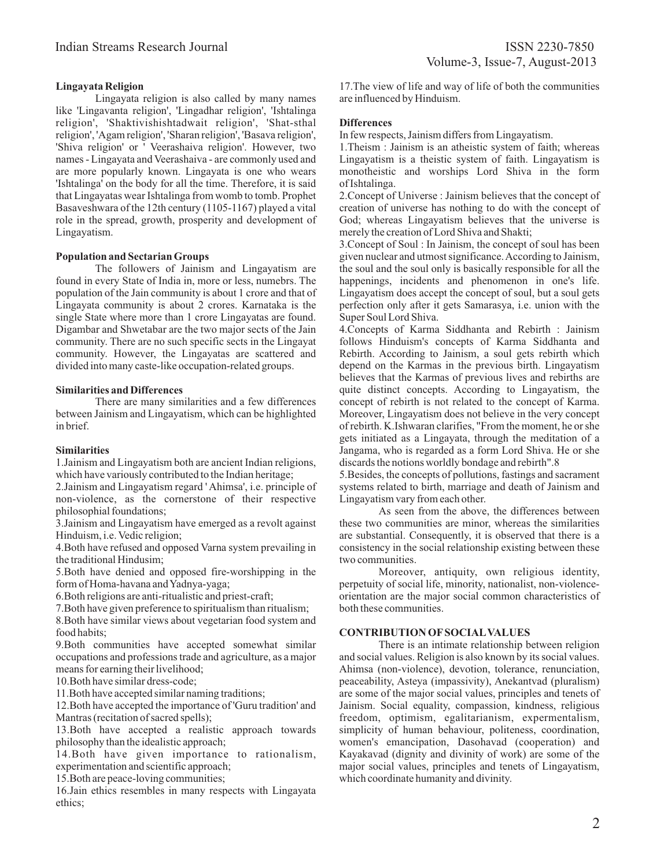# **Lingayata Religion**

Lingayata religion is also called by many names like 'Lingavanta religion', 'Lingadhar religion', 'Ishtalinga religion', 'Shaktivishishtadwait religion', 'Shat-sthal religion', 'Agam religion', 'Sharan religion', 'Basava religion', 'Shiva religion' or ' Veerashaiva religion'. However, two names - Lingayata and Veerashaiva - are commonly used and are more popularly known. Lingayata is one who wears 'Ishtalinga' on the body for all the time. Therefore, it is said that Lingayatas wear Ishtalinga from womb to tomb. Prophet Basaveshwara of the 12th century (1105-1167) played a vital role in the spread, growth, prosperity and development of Lingayatism.

### **Population and Sectarian Groups**

The followers of Jainism and Lingayatism are found in every State of India in, more or less, numebrs. The population of the Jain community is about 1 crore and that of Lingayata community is about 2 crores. Karnataka is the single State where more than 1 crore Lingayatas are found. Digambar and Shwetabar are the two major sects of the Jain community. There are no such specific sects in the Lingayat community. However, the Lingayatas are scattered and divided into many caste-like occupation-related groups.

### **Similarities and Differences**

There are many similarities and a few differences between Jainism and Lingayatism, which can be highlighted in brief.

### **Similarities**

1.Jainism and Lingayatism both are ancient Indian religions, which have variously contributed to the Indian heritage;

2.Jainism and Lingayatism regard ' Ahimsa', i.e. principle of non-violence, as the cornerstone of their respective philosophial foundations;

3.Jainism and Lingayatism have emerged as a revolt against Hinduism, i.e. Vedic religion;

4.Both have refused and opposed Varna system prevailing in the traditional Hindusim;

5.Both have denied and opposed fire-worshipping in the form of Homa-havana and Yadnya-yaga;

6.Both religions are anti-ritualistic and priest-craft;

7.Both have given preference to spiritualism than ritualism;

8.Both have similar views about vegetarian food system and food habits;

9.Both communities have accepted somewhat similar occupations and professions trade and agriculture, as a major means for earning their livelihood;

10.Both have similar dress-code;

11.Both have accepted similar naming traditions;

12.Both have accepted the importance of 'Guru tradition' and Mantras (recitation of sacred spells);

13.Both have accepted a realistic approach towards philosophy than the idealistic approach;

14.Both have given importance to rationalism, experimentation and scientific approach;

15.Both are peace-loving communities;

16.Jain ethics resembles in many respects with Lingayata ethics;

17.The view of life and way of life of both the communities are influenced by Hinduism.

# **Differences**

In few respects, Jainism differs from Lingayatism.

1.Theism : Jainism is an atheistic system of faith; whereas Lingayatism is a theistic system of faith. Lingayatism is monotheistic and worships Lord Shiva in the form of Ishtalinga.

2.Concept of Universe : Jainism believes that the concept of creation of universe has nothing to do with the concept of God; whereas Lingayatism believes that the universe is merely the creation of Lord Shiva and Shakti;

3.Concept of Soul : In Jainism, the concept of soul has been given nuclear and utmost significance. According to Jainism, the soul and the soul only is basically responsible for all the happenings, incidents and phenomenon in one's life. Lingayatism does accept the concept of soul, but a soul gets perfection only after it gets Samarasya, i.e. union with the Super Soul Lord Shiva.

4.Concepts of Karma Siddhanta and Rebirth : Jainism follows Hinduism's concepts of Karma Siddhanta and Rebirth. According to Jainism, a soul gets rebirth which depend on the Karmas in the previous birth. Lingayatism believes that the Karmas of previous lives and rebirths are quite distinct concepts. According to Lingayatism, the concept of rebirth is not related to the concept of Karma. Moreover, Lingayatism does not believe in the very concept of rebirth. K.Ishwaran clarifies, "From the moment, he or she gets initiated as a Lingayata, through the meditation of a Jangama, who is regarded as a form Lord Shiva. He or she discards the notions worldly bondage and rebirth".8

5.Besides, the concepts of pollutions, fastings and sacrament systems related to birth, marriage and death of Jainism and Lingayatism vary from each other.

As seen from the above, the differences between these two communities are minor, whereas the similarities are substantial. Consequently, it is observed that there is a consistency in the social relationship existing between these two communities.

Moreover, antiquity, own religious identity, perpetuity of social life, minority, nationalist, non-violenceorientation are the major social common characteristics of both these communities.

# **CONTRIBUTION OFSOCIALVALUES**

There is an intimate relationship between religion and social values. Religion is also known by its social values. Ahimsa (non-violence), devotion, tolerance, renunciation, peaceability, Asteya (impassivity), Anekantvad (pluralism) are some of the major social values, principles and tenets of Jainism. Social equality, compassion, kindness, religious freedom, optimism, egalitarianism, expermentalism, simplicity of human behaviour, politeness, coordination, women's emancipation, Dasohavad (cooperation) and Kayakavad (dignity and divinity of work) are some of the major social values, principles and tenets of Lingayatism, which coordinate humanity and divinity.